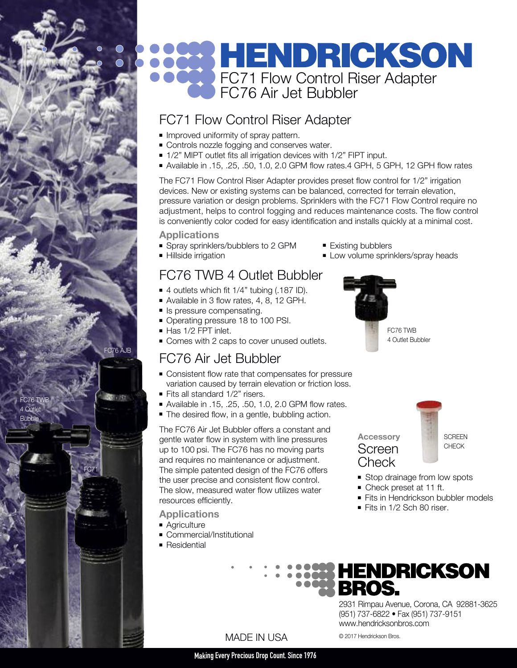# **HENDRICKSON** FC71 Flow Control Riser Adapter FC76 Air Jet Bubbler

# FC71 Flow Control Riser Adapter

- **n** Improved uniformity of spray pattern.
- Controls nozzle fogging and conserves water.
- 1/2" MIPT outlet fits all irrigation devices with 1/2" FIPT input.
- <sup>n</sup> Available in .15, .25, .50, 1.0, 2.0 GPM flow rates.4 GPH, 5 GPH, 12 GPH flow rates

The FC71 Flow Control Riser Adapter provides preset flow control for 1/2" irrigation devices. New or existing systems can be balanced, corrected for terrain elevation, pressure variation or design problems. Sprinklers with the FC71 Flow Control require no adjustment, helps to control fogging and reduces maintenance costs. The flow control is conveniently color coded for easy identification and installs quickly at a minimal cost.

**Applications**

- Spray sprinklers/bubblers to 2 GPM
- Hillside irrigation

# FC76 TWB 4 Outlet Bubbler

- $\blacksquare$  4 outlets which fit 1/4" tubing (.187 ID).
- Available in 3 flow rates, 4, 8, 12 GPH.
- **n** Is pressure compensating.
- Operating pressure 18 to 100 PSI.
- Has 1/2 FPT inlet.

FC76 AJB

17,000

FC71

FC76 TWB 4 Outlet **Bubbler** 

• Comes with 2 caps to cover unused outlets.

## FC76 Air Jet Bubbler

- Consistent flow rate that compensates for pressure variation caused by terrain elevation or friction loss.
- Fits all standard 1/2" risers.
- Available in .15, .25, .50, 1.0, 2.0 GPM flow rates.
- The desired flow, in a gentle, bubbling action.

The FC76 Air Jet Bubbler offers a constant and gentle water flow in system with line pressures up to 100 psi. The FC76 has no moving parts and requires no maintenance or adjustment. The simple patented design of the FC76 offers the user precise and consistent flow control. The slow, measured water flow utilizes water resources efficiently.

- **Applications**
- **Agriculture**
- Commercial/Institutional
- $\blacksquare$  Residential
- Existing bubblers
- **Low volume sprinklers/spray heads**





- **Stop drainage from low spots**
- Check preset at 11 ft.

**Check** 

- **Fits in Hendrickson bubbler models**
- Fits in  $1/2$  Sch 80 riser



2931 Rimpau Avenue, Corona, CA 92881-3625 (951) 737-6822 • Fax (951) 737-9151 www.hendricksonbros.com

## MADE IN USA

#### **MakingEvery Precious Drop Count. Since 1976**

© 2017 Hendrickson Bros.